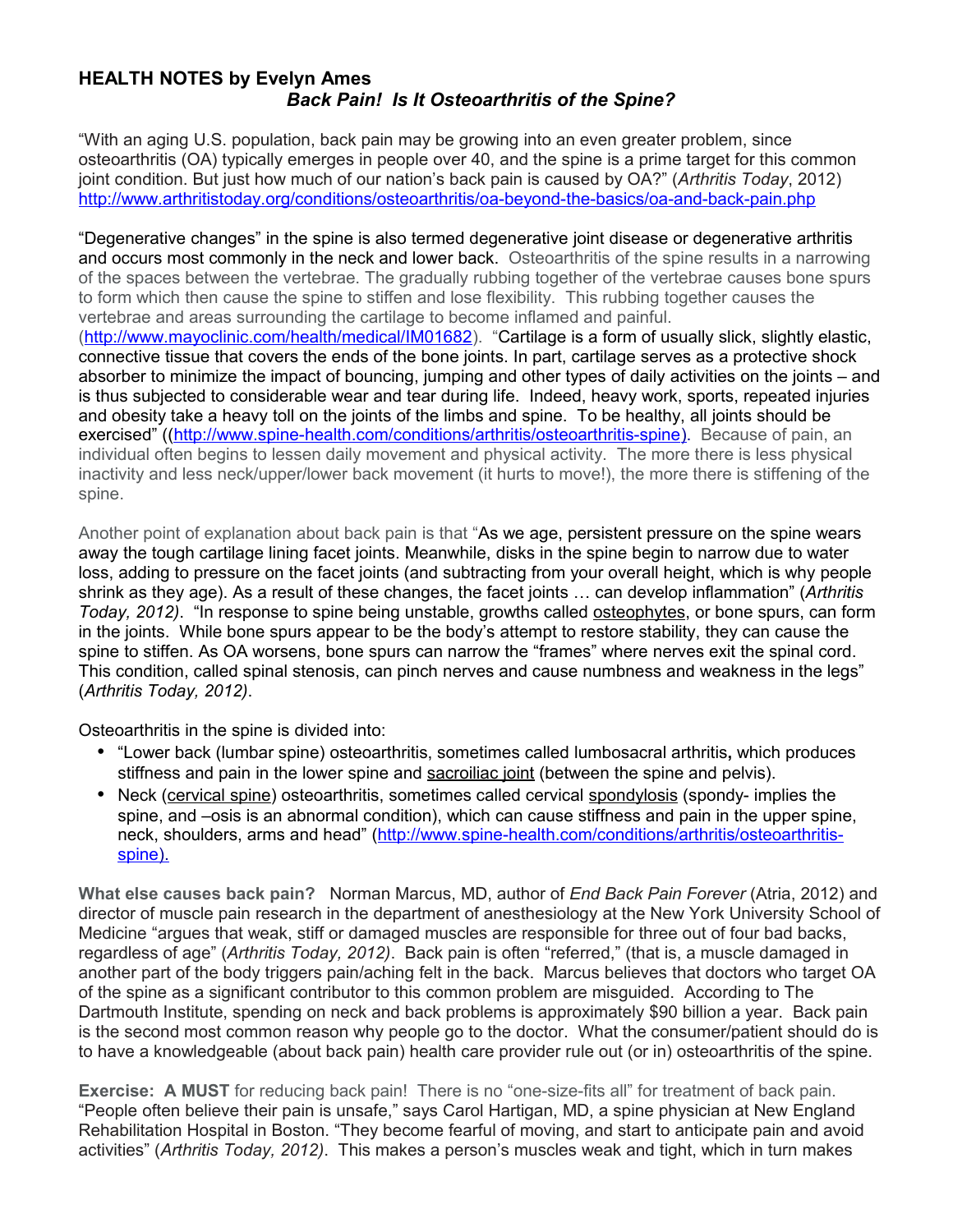## **HEALTH NOTES by Evelyn Ames**  *Back Pain! Is It Osteoarthritis of the Spine?*

"With an aging U.S. population, back pain may be growing into an even greater problem, since osteoarthritis (OA) typically emerges in people over 40, and the spine is a prime target for this common joint condition. But just how much of our nation's back pain is caused by OA?" (*Arthritis Today*, 2012) <http://www.arthritistoday.org/conditions/osteoarthritis/oa-beyond-the-basics/oa-and-back-pain.php>

"Degenerative changes" in the spine is also termed degenerative joint disease or degenerative arthritis and occurs most commonly in the neck and lower back. Osteoarthritis of the spine results in a narrowing of the spaces between the vertebrae. The gradually rubbing together of the vertebrae causes bone spurs to form which then cause the spine to stiffen and lose flexibility. This rubbing together causes the vertebrae and areas surrounding the cartilage to become inflamed and painful.

[\(http://www.mayoclinic.com/health/medical/IM01682\)](http://www.mayoclinic.com/health/medical/IM01682). "Cartilage is a form of usually slick, slightly elastic, connective tissue that covers the ends of the bone joints. In part, cartilage serves as a protective shock absorber to minimize the impact of bouncing, jumping and other types of daily activities on the joints – and is thus subjected to considerable wear and tear during life. Indeed, heavy work, sports, repeated injuries and obesity take a heavy toll on the joints of the limbs and spine. To be healthy, all joints should be exercised" ((http://www.spine-health.com/conditions/arthritis/osteoarthritis-spine). Because of pain, an individual often begins to lessen daily movement and physical activity. The more there is less physical inactivity and less neck/upper/lower back movement (it hurts to move!), the more there is stiffening of the spine.

Another point of explanation about back pain is that "As we age, persistent pressure on the spine wears away the tough cartilage lining facet joints. Meanwhile, disks in the spine begin to narrow due to water loss, adding to pressure on the facet joints (and subtracting from your overall height, which is why people shrink as they age). As a result of these changes, the facet joints … can develop inflammation" (*Arthritis Today, 2012)*. "In response to spine being unstable, growths called osteophytes, or bone spurs, can form in the joints. While bone spurs appear to be the body's attempt to restore stability, they can cause the spine to stiffen. As OA worsens, bone spurs can narrow the "frames" where nerves exit the spinal cord. This condition, called spinal stenosis, can pinch nerves and cause numbness and weakness in the legs" (*Arthritis Today, 2012)*.

Osteoarthritis in the spine is divided into:

- "Lower back (lumbar spine) osteoarthritis, sometimes called lumbosacral arthritis**,** which produces stiffness and pain in the lower spine and [sacroiliac joint](http://www.spine-health.com/conditions/spine-anatomy/sacroiliac-joint-anatomy) (between the spine and pelvis).
- Neck [\(cervical spine\)](http://www.spine-health.com/conditions/spine-anatomy/cervical-spine-anatomy-and-neck-pain) osteoarthritis, sometimes called cervical [spondylosis](http://www.spine-health.com/conditions/back-pain/spondylosis-what-it-actually-means) (spondy- implies the spine, and –osis is an abnormal condition), which can cause stiffness and pain in the upper spine, neck, shoulders, arms and head" [\(http://www.spine-health.com/conditions/arthritis/osteoarthritis](http://www.spine-health.com/conditions/arthritis/osteoarthritis-spine) spine).

**What else causes back pain?** Norman Marcus, MD, author of *End Back Pain Forever* (Atria, 2012) and director of muscle pain research in the department of anesthesiology at the New York University School of Medicine "argues that weak, stiff or damaged muscles are responsible for three out of four bad backs, regardless of age" (*Arthritis Today, 2012)*. Back pain is often "referred," (that is, a muscle damaged in another part of the body triggers pain/aching felt in the back. Marcus believes that doctors who target OA of the spine as a significant contributor to this common problem are misguided. According to The Dartmouth Institute, spending on neck and back problems is approximately \$90 billion a year. Back pain is the second most common reason why people go to the doctor. What the consumer/patient should do is to have a knowledgeable (about back pain) health care provider rule out (or in) osteoarthritis of the spine.

**Exercise: A MUST** for reducing back pain! There is no "one-size-fits all" for treatment of back pain. "People often believe their pain is unsafe," says Carol Hartigan, MD, a spine physician at New England Rehabilitation Hospital in Boston. "They become fearful of moving, and start to anticipate pain and avoid activities" (*Arthritis Today, 2012)*. This makes a person's muscles weak and tight, which in turn makes